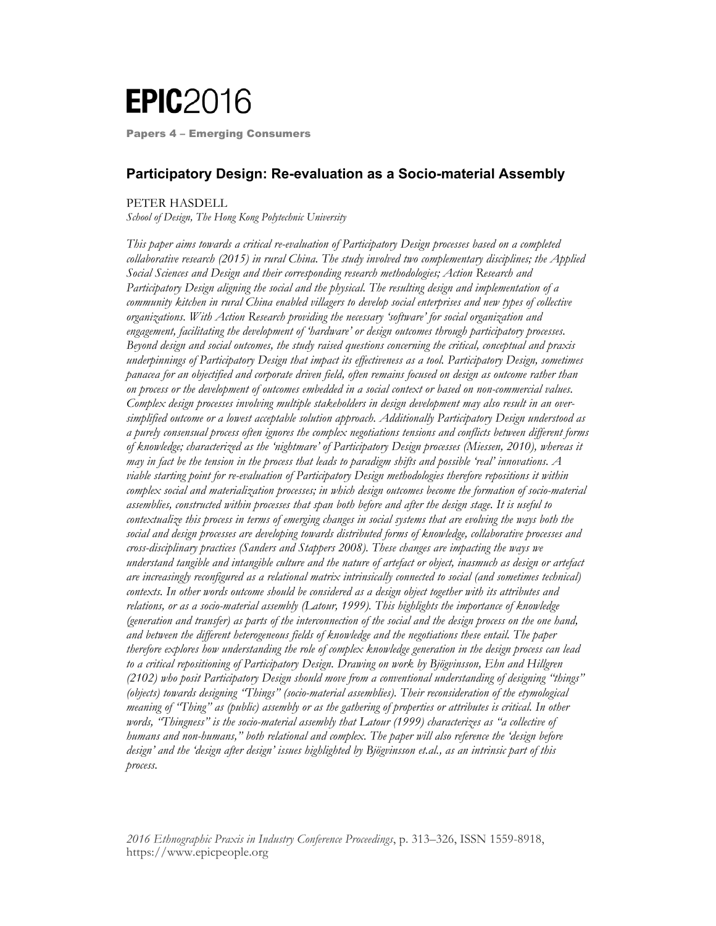# **EPIC**2016

Papers 4 – Emerging Consumers

# **Participatory Design: Re-evaluation as a Socio-material Assembly**

# PETER HASDELL

*School of Design, The Hong Kong Polytechnic University*

*This paper aims towards a critical re-evaluation of Participatory Design processes based on a completed collaborative research (2015) in rural China. The study involved two complementary disciplines; the Applied Social Sciences and Design and their corresponding research methodologies; Action Research and Participatory Design aligning the social and the physical. The resulting design and implementation of a community kitchen in rural China enabled villagers to develop social enterprises and new types of collective organizations. With Action Research providing the necessary 'software' for social organization and engagement, facilitating the development of 'hardware' or design outcomes through participatory processes. Beyond design and social outcomes, the study raised questions concerning the critical, conceptual and praxis underpinnings of Participatory Design that impact its effectiveness as a tool. Participatory Design, sometimes panacea for an objectified and corporate driven field, often remains focused on design as outcome rather than on process or the development of outcomes embedded in a social context or based on non-commercial values. Complex design processes involving multiple stakeholders in design development may also result in an oversimplified outcome or a lowest acceptable solution approach. Additionally Participatory Design understood as a purely consensual process often ignores the complex negotiations tensions and conflicts between different forms of knowledge; characterized as the 'nightmare' of Participatory Design processes (Miessen, 2010), whereas it may in fact be the tension in the process that leads to paradigm shifts and possible 'real' innovations. A viable starting point for re-evaluation of Participatory Design methodologies therefore repositions it within complex social and materialization processes; in which design outcomes become the formation of socio-material assemblies, constructed within processes that span both before and after the design stage. It is useful to contextualize this process in terms of emerging changes in social systems that are evolving the ways both the social and design processes are developing towards distributed forms of knowledge, collaborative processes and cross-disciplinary practices (Sanders and Stappers 2008). These changes are impacting the ways we understand tangible and intangible culture and the nature of artefact or object, inasmuch as design or artefact are increasingly reconfigured as a relational matrix intrinsically connected to social (and sometimes technical) contexts. In other words outcome should be considered as a design object together with its attributes and relations, or as a socio-material assembly (Latour, 1999). This highlights the importance of knowledge (generation and transfer) as parts of the interconnection of the social and the design process on the one hand, and between the different heterogeneous fields of knowledge and the negotiations these entail. The paper therefore explores how understanding the role of complex knowledge generation in the design process can lead to a critical repositioning of Participatory Design. Drawing on work by Bjögvinsson, Ehn and Hillgren (2102) who posit Participatory Design should move from a conventional understanding of designing "things" (objects) towards designing "Things" (socio-material assemblies). Their reconsideration of the etymological* meaning of "Thing" as (public) assembly or as the gathering of properties or attributes is critical. In other *words, "Thingness" is the socio-material assembly that Latour (1999) characterizes as "a collective of humans and non-humans," both relational and complex. The paper will also reference the 'design before design' and the 'design after design' issues highlighted by Bjögvinsson et.al., as an intrinsic part of this process.* 

*2016 Ethnographic Praxis in Industry Conference Proceedings*, p. 313–326, ISSN 1559-8918, <https://www.epicpeople.org>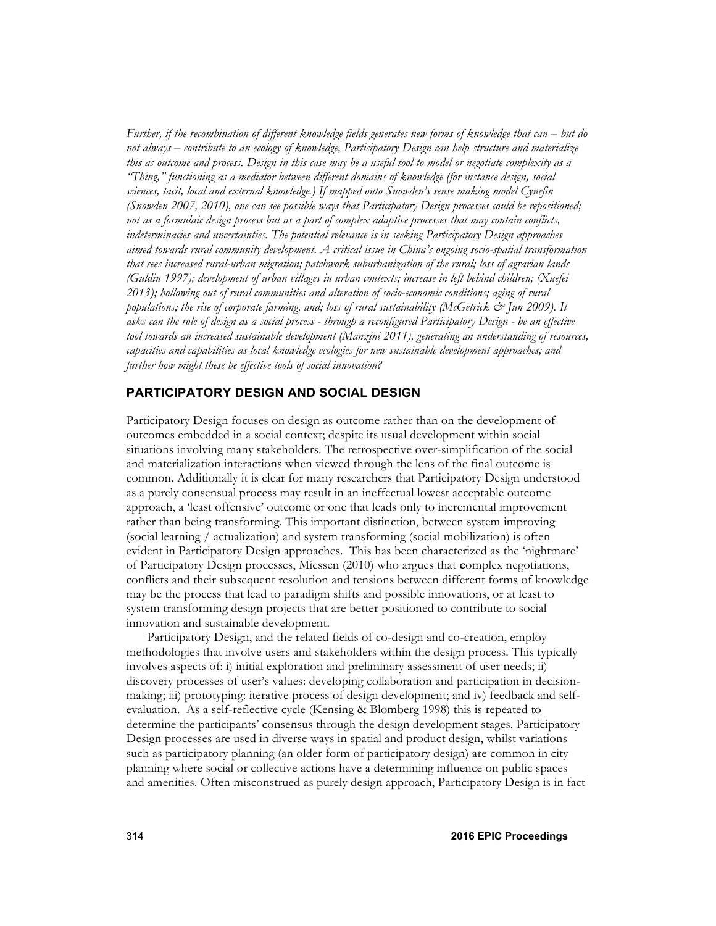*Further, if the recombination of different knowledge fields generates new forms of knowledge that can – but do not always – contribute to an ecology of knowledge, Participatory Design can help structure and materialize this as outcome and process. Design in this case may be a useful tool to model or negotiate complexity as a "Thing," functioning as a mediator between different domains of knowledge (for instance design, social sciences, tacit, local and external knowledge.) If mapped onto Snowden's sense making model Cynefin (Snowden 2007, 2010), one can see possible ways that Participatory Design processes could be repositioned; not as a formulaic design process but as a part of complex adaptive processes that may contain conflicts, indeterminacies and uncertainties. The potential relevance is in seeking Participatory Design approaches aimed towards rural community development. A critical issue in China's ongoing socio-spatial transformation that sees increased rural-urban migration; patchwork suburbanization of the rural; loss of agrarian lands (Guldin 1997); development of urban villages in urban contexts; increase in left behind children; (Xuefei 2013); hollowing out of rural communities and alteration of socio-economic conditions; aging of rural populations; the rise of corporate farming, and; loss of rural sustainability (McGetrick & Jun 2009). It asks can the role of design as a social process - through a reconfigured Participatory Design - be an effective tool towards an increased sustainable development (Manzini 2011), generating an understanding of resources, capacities and capabilities as local knowledge ecologies for new sustainable development approaches; and further how might these be effective tools of social innovation?*

# **PARTICIPATORY DESIGN AND SOCIAL DESIGN**

Participatory Design focuses on design as outcome rather than on the development of outcomes embedded in a social context; despite its usual development within social situations involving many stakeholders. The retrospective over-simplification of the social and materialization interactions when viewed through the lens of the final outcome is common. Additionally it is clear for many researchers that Participatory Design understood as a purely consensual process may result in an ineffectual lowest acceptable outcome approach, a 'least offensive' outcome or one that leads only to incremental improvement rather than being transforming. This important distinction, between system improving (social learning / actualization) and system transforming (social mobilization) is often evident in Participatory Design approaches. This has been characterized as the 'nightmare' of Participatory Design processes, Miessen (2010) who argues that **c**omplex negotiations, conflicts and their subsequent resolution and tensions between different forms of knowledge may be the process that lead to paradigm shifts and possible innovations, or at least to system transforming design projects that are better positioned to contribute to social innovation and sustainable development.

Participatory Design, and the related fields of co-design and co-creation, employ methodologies that involve users and stakeholders within the design process. This typically involves aspects of: i) initial exploration and preliminary assessment of user needs; ii) discovery processes of user's values: developing collaboration and participation in decisionmaking; iii) prototyping: iterative process of design development; and iv) feedback and selfevaluation. As a self-reflective cycle (Kensing & Blomberg 1998) this is repeated to determine the participants' consensus through the design development stages. Participatory Design processes are used in diverse ways in spatial and product design, whilst variations such as participatory planning (an older form of participatory design) are common in city planning where social or collective actions have a determining influence on public spaces and amenities. Often misconstrued as purely design approach, Participatory Design is in fact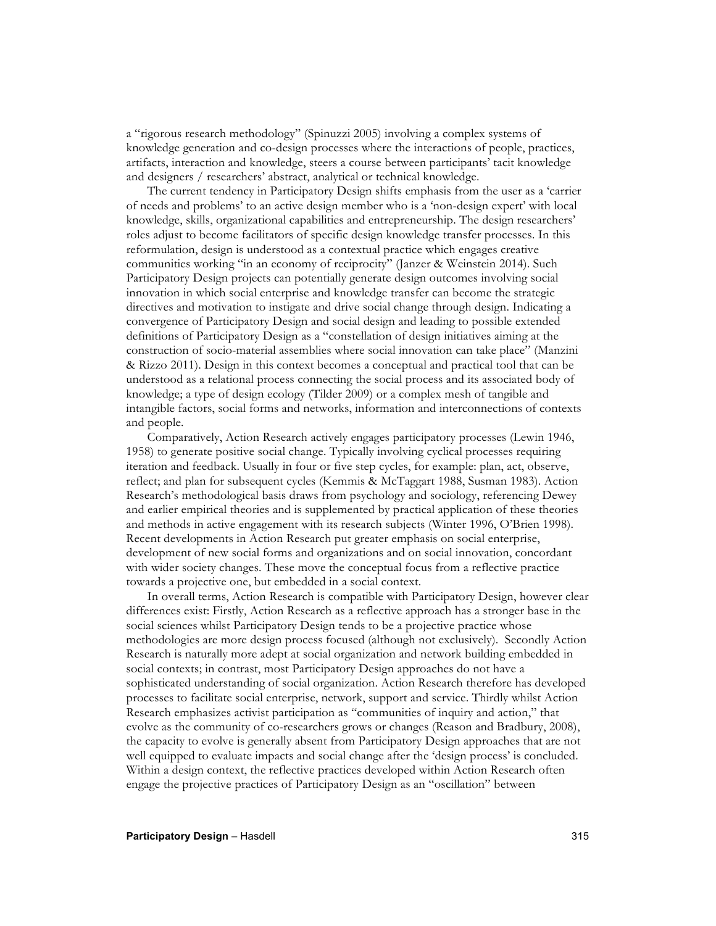a "rigorous research methodology" (Spinuzzi 2005) involving a complex systems of knowledge generation and co-design processes where the interactions of people, practices, artifacts, interaction and knowledge, steers a course between participants' tacit knowledge and designers / researchers' abstract, analytical or technical knowledge.

The current tendency in Participatory Design shifts emphasis from the user as a 'carrier of needs and problems' to an active design member who is a 'non-design expert' with local knowledge, skills, organizational capabilities and entrepreneurship. The design researchers' roles adjust to become facilitators of specific design knowledge transfer processes. In this reformulation, design is understood as a contextual practice which engages creative communities working "in an economy of reciprocity" (Janzer & Weinstein 2014). Such Participatory Design projects can potentially generate design outcomes involving social innovation in which social enterprise and knowledge transfer can become the strategic directives and motivation to instigate and drive social change through design. Indicating a convergence of Participatory Design and social design and leading to possible extended definitions of Participatory Design as a "constellation of design initiatives aiming at the construction of socio-material assemblies where social innovation can take place" (Manzini & Rizzo 2011). Design in this context becomes a conceptual and practical tool that can be understood as a relational process connecting the social process and its associated body of knowledge; a type of design ecology (Tilder 2009) or a complex mesh of tangible and intangible factors, social forms and networks, information and interconnections of contexts and people.

Comparatively, Action Research actively engages participatory processes (Lewin 1946, 1958) to generate positive social change. Typically involving cyclical processes requiring iteration and feedback. Usually in four or five step cycles, for example: plan, act, observe, reflect; and plan for subsequent cycles (Kemmis & McTaggart 1988, Susman 1983). Action Research's methodological basis draws from psychology and sociology, referencing Dewey and earlier empirical theories and is supplemented by practical application of these theories and methods in active engagement with its research subjects (Winter 1996, O'Brien 1998). Recent developments in Action Research put greater emphasis on social enterprise, development of new social forms and organizations and on social innovation, concordant with wider society changes. These move the conceptual focus from a reflective practice towards a projective one, but embedded in a social context.

In overall terms, Action Research is compatible with Participatory Design, however clear differences exist: Firstly, Action Research as a reflective approach has a stronger base in the social sciences whilst Participatory Design tends to be a projective practice whose methodologies are more design process focused (although not exclusively). Secondly Action Research is naturally more adept at social organization and network building embedded in social contexts; in contrast, most Participatory Design approaches do not have a sophisticated understanding of social organization. Action Research therefore has developed processes to facilitate social enterprise, network, support and service. Thirdly whilst Action Research emphasizes activist participation as "communities of inquiry and action," that evolve as the community of co-researchers grows or changes (Reason and Bradbury, 2008), the capacity to evolve is generally absent from Participatory Design approaches that are not well equipped to evaluate impacts and social change after the 'design process' is concluded. Within a design context, the reflective practices developed within Action Research often engage the projective practices of Participatory Design as an "oscillation" between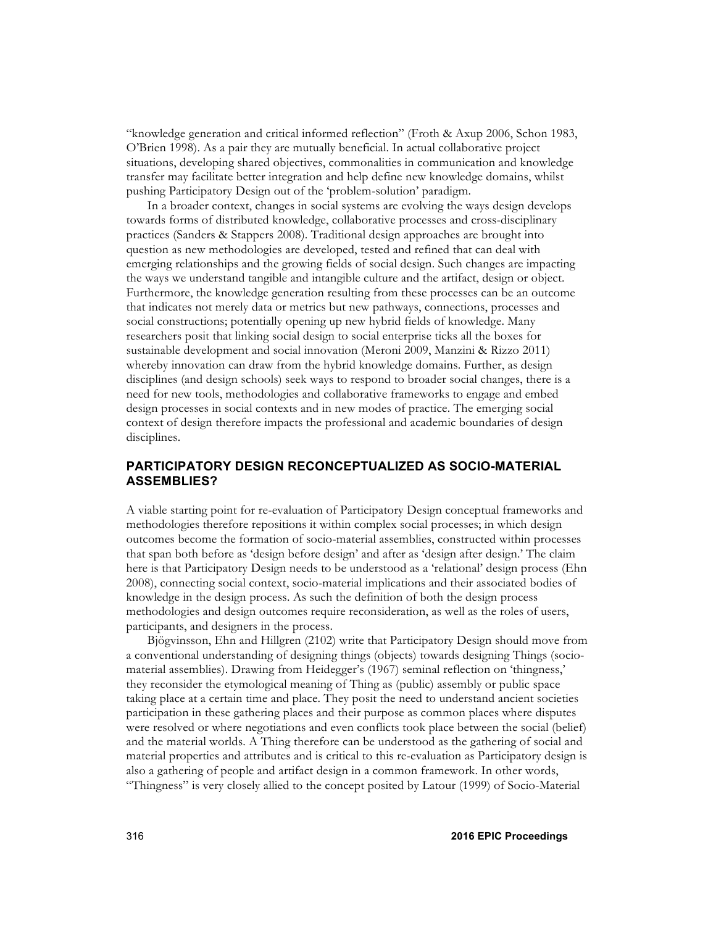"knowledge generation and critical informed reflection" (Froth & Axup 2006, Schon 1983, O'Brien 1998). As a pair they are mutually beneficial. In actual collaborative project situations, developing shared objectives, commonalities in communication and knowledge transfer may facilitate better integration and help define new knowledge domains, whilst pushing Participatory Design out of the 'problem-solution' paradigm.

In a broader context, changes in social systems are evolving the ways design develops towards forms of distributed knowledge, collaborative processes and cross-disciplinary practices (Sanders & Stappers 2008). Traditional design approaches are brought into question as new methodologies are developed, tested and refined that can deal with emerging relationships and the growing fields of social design. Such changes are impacting the ways we understand tangible and intangible culture and the artifact, design or object. Furthermore, the knowledge generation resulting from these processes can be an outcome that indicates not merely data or metrics but new pathways, connections, processes and social constructions; potentially opening up new hybrid fields of knowledge. Many researchers posit that linking social design to social enterprise ticks all the boxes for sustainable development and social innovation (Meroni 2009, Manzini & Rizzo 2011) whereby innovation can draw from the hybrid knowledge domains. Further, as design disciplines (and design schools) seek ways to respond to broader social changes, there is a need for new tools, methodologies and collaborative frameworks to engage and embed design processes in social contexts and in new modes of practice. The emerging social context of design therefore impacts the professional and academic boundaries of design disciplines.

# **PARTICIPATORY DESIGN RECONCEPTUALIZED AS SOCIO-MATERIAL ASSEMBLIES?**

A viable starting point for re-evaluation of Participatory Design conceptual frameworks and methodologies therefore repositions it within complex social processes; in which design outcomes become the formation of socio-material assemblies, constructed within processes that span both before as 'design before design' and after as 'design after design.' The claim here is that Participatory Design needs to be understood as a 'relational' design process (Ehn 2008), connecting social context, socio-material implications and their associated bodies of knowledge in the design process. As such the definition of both the design process methodologies and design outcomes require reconsideration, as well as the roles of users, participants, and designers in the process.

Bjögvinsson, Ehn and Hillgren (2102) write that Participatory Design should move from a conventional understanding of designing things (objects) towards designing Things (sociomaterial assemblies). Drawing from Heidegger's (1967) seminal reflection on 'thingness,' they reconsider the etymological meaning of Thing as (public) assembly or public space taking place at a certain time and place. They posit the need to understand ancient societies participation in these gathering places and their purpose as common places where disputes were resolved or where negotiations and even conflicts took place between the social (belief) and the material worlds. A Thing therefore can be understood as the gathering of social and material properties and attributes and is critical to this re-evaluation as Participatory design is also a gathering of people and artifact design in a common framework. In other words, "Thingness" is very closely allied to the concept posited by Latour (1999) of Socio-Material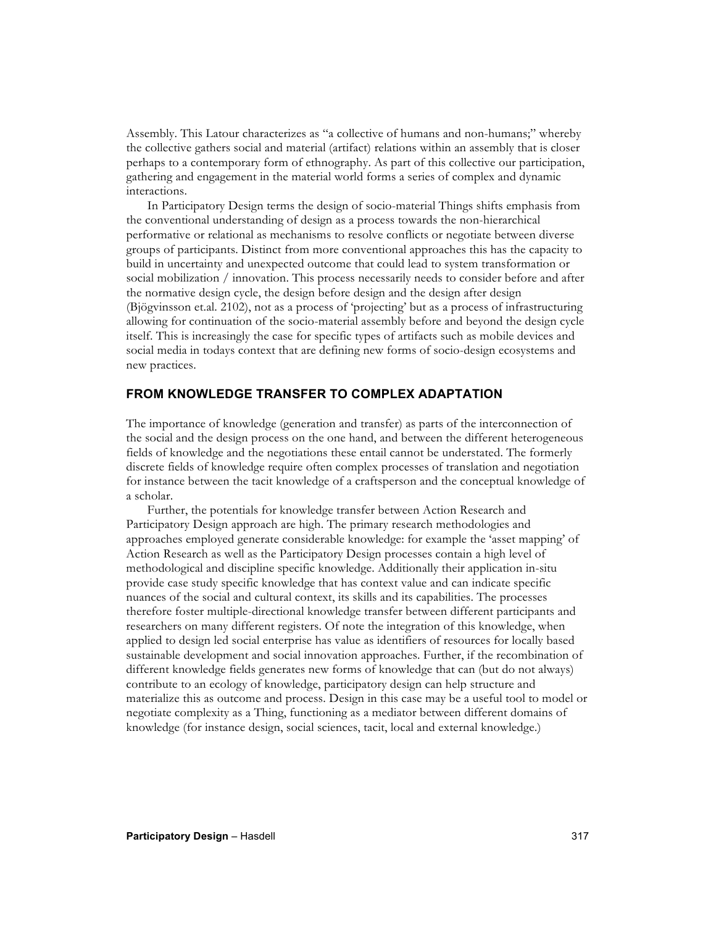Assembly. This Latour characterizes as "a collective of humans and non-humans;" whereby the collective gathers social and material (artifact) relations within an assembly that is closer perhaps to a contemporary form of ethnography. As part of this collective our participation, gathering and engagement in the material world forms a series of complex and dynamic interactions.

In Participatory Design terms the design of socio-material Things shifts emphasis from the conventional understanding of design as a process towards the non-hierarchical performative or relational as mechanisms to resolve conflicts or negotiate between diverse groups of participants. Distinct from more conventional approaches this has the capacity to build in uncertainty and unexpected outcome that could lead to system transformation or social mobilization / innovation. This process necessarily needs to consider before and after the normative design cycle, the design before design and the design after design (Bjögvinsson et.al. 2102), not as a process of 'projecting' but as a process of infrastructuring allowing for continuation of the socio-material assembly before and beyond the design cycle itself. This is increasingly the case for specific types of artifacts such as mobile devices and social media in todays context that are defining new forms of socio-design ecosystems and new practices.

# **FROM KNOWLEDGE TRANSFER TO COMPLEX ADAPTATION**

The importance of knowledge (generation and transfer) as parts of the interconnection of the social and the design process on the one hand, and between the different heterogeneous fields of knowledge and the negotiations these entail cannot be understated. The formerly discrete fields of knowledge require often complex processes of translation and negotiation for instance between the tacit knowledge of a craftsperson and the conceptual knowledge of a scholar.

Further, the potentials for knowledge transfer between Action Research and Participatory Design approach are high. The primary research methodologies and approaches employed generate considerable knowledge: for example the 'asset mapping' of Action Research as well as the Participatory Design processes contain a high level of methodological and discipline specific knowledge. Additionally their application in-situ provide case study specific knowledge that has context value and can indicate specific nuances of the social and cultural context, its skills and its capabilities. The processes therefore foster multiple-directional knowledge transfer between different participants and researchers on many different registers. Of note the integration of this knowledge, when applied to design led social enterprise has value as identifiers of resources for locally based sustainable development and social innovation approaches. Further, if the recombination of different knowledge fields generates new forms of knowledge that can (but do not always) contribute to an ecology of knowledge, participatory design can help structure and materialize this as outcome and process. Design in this case may be a useful tool to model or negotiate complexity as a Thing, functioning as a mediator between different domains of knowledge (for instance design, social sciences, tacit, local and external knowledge.)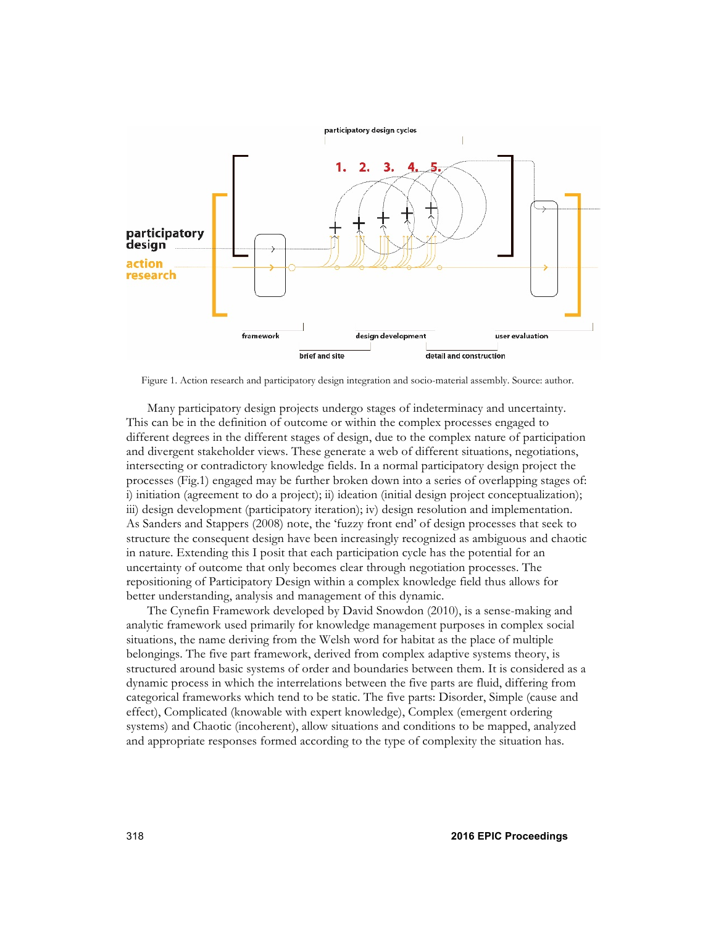

Figure 1. Action research and participatory design integration and socio-material assembly. Source: author.

Many participatory design projects undergo stages of indeterminacy and uncertainty. This can be in the definition of outcome or within the complex processes engaged to different degrees in the different stages of design, due to the complex nature of participation and divergent stakeholder views. These generate a web of different situations, negotiations, intersecting or contradictory knowledge fields. In a normal participatory design project the processes (Fig.1) engaged may be further broken down into a series of overlapping stages of: i) initiation (agreement to do a project); ii) ideation (initial design project conceptualization); iii) design development (participatory iteration); iv) design resolution and implementation. As Sanders and Stappers (2008) note, the 'fuzzy front end' of design processes that seek to structure the consequent design have been increasingly recognized as ambiguous and chaotic in nature. Extending this I posit that each participation cycle has the potential for an uncertainty of outcome that only becomes clear through negotiation processes. The repositioning of Participatory Design within a complex knowledge field thus allows for better understanding, analysis and management of this dynamic.

The Cynefin Framework developed by David Snowdon (2010), is a sense-making and analytic framework used primarily for knowledge management purposes in complex social situations, the name deriving from the Welsh word for habitat as the place of multiple belongings. The five part framework, derived from complex adaptive systems theory, is structured around basic systems of order and boundaries between them. It is considered as a dynamic process in which the interrelations between the five parts are fluid, differing from categorical frameworks which tend to be static. The five parts: Disorder, Simple (cause and effect), Complicated (knowable with expert knowledge), Complex (emergent ordering systems) and Chaotic (incoherent), allow situations and conditions to be mapped, analyzed and appropriate responses formed according to the type of complexity the situation has.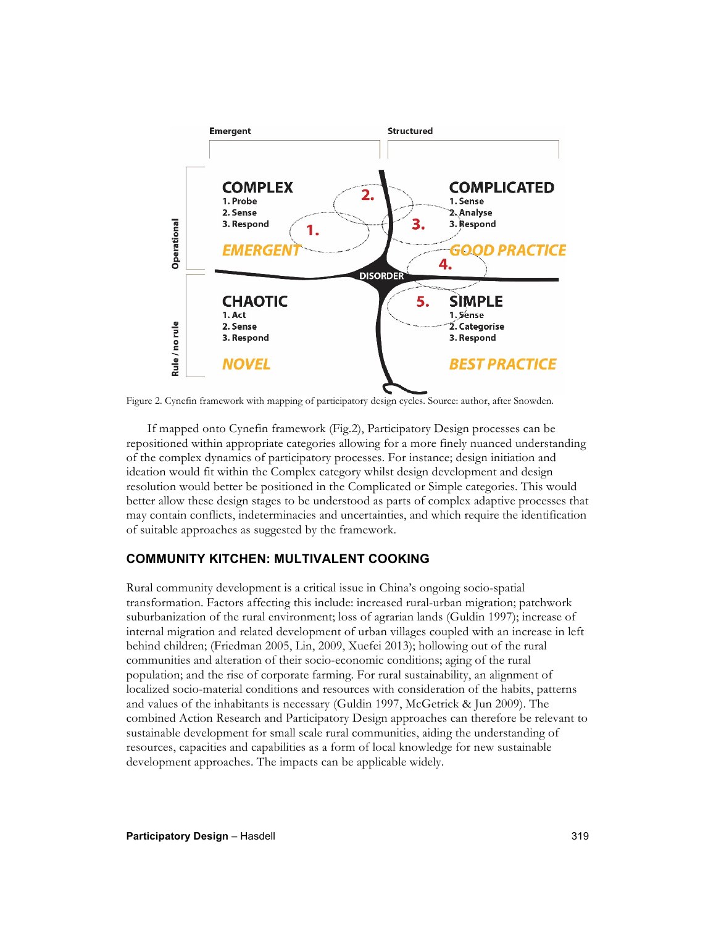

Figure 2. Cynefin framework with mapping of participatory design cycles. Source: author, after Snowden.

If mapped onto Cynefin framework (Fig.2), Participatory Design processes can be repositioned within appropriate categories allowing for a more finely nuanced understanding of the complex dynamics of participatory processes. For instance; design initiation and ideation would fit within the Complex category whilst design development and design resolution would better be positioned in the Complicated or Simple categories. This would better allow these design stages to be understood as parts of complex adaptive processes that may contain conflicts, indeterminacies and uncertainties, and which require the identification of suitable approaches as suggested by the framework.

# **COMMUNITY KITCHEN: MULTIVALENT COOKING**

Rural community development is a critical issue in China's ongoing socio-spatial transformation. Factors affecting this include: increased rural-urban migration; patchwork suburbanization of the rural environment; loss of agrarian lands (Guldin 1997); increase of internal migration and related development of urban villages coupled with an increase in left behind children; (Friedman 2005, Lin, 2009, Xuefei 2013); hollowing out of the rural communities and alteration of their socio-economic conditions; aging of the rural population; and the rise of corporate farming. For rural sustainability, an alignment of localized socio-material conditions and resources with consideration of the habits, patterns and values of the inhabitants is necessary (Guldin 1997, McGetrick & Jun 2009). The combined Action Research and Participatory Design approaches can therefore be relevant to sustainable development for small scale rural communities, aiding the understanding of resources, capacities and capabilities as a form of local knowledge for new sustainable development approaches. The impacts can be applicable widely.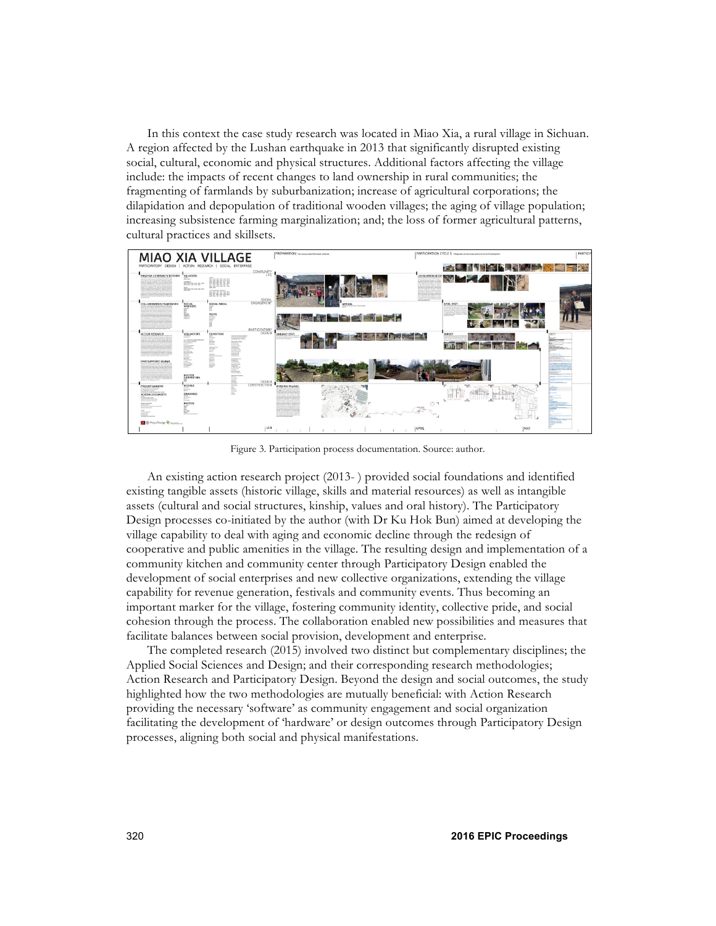In this context the case study research was located in Miao Xia, a rural village in Sichuan. A region affected by the Lushan earthquake in 2013 that significantly disrupted existing social, cultural, economic and physical structures. Additional factors affecting the village include: the impacts of recent changes to land ownership in rural communities; the fragmenting of farmlands by suburbanization; increase of agricultural corporations; the dilapidation and depopulation of traditional wooden villages; the aging of village population; increasing subsistence farming marginalization; and; the loss of former agricultural patterns, cultural practices and skillsets.



Figure 3. Participation process documentation. Source: author.

An existing action research project (2013- ) provided social foundations and identified existing tangible assets (historic village, skills and material resources) as well as intangible assets (cultural and social structures, kinship, values and oral history). The Participatory Design processes co-initiated by the author (with Dr Ku Hok Bun) aimed at developing the village capability to deal with aging and economic decline through the redesign of cooperative and public amenities in the village. The resulting design and implementation of a community kitchen and community center through Participatory Design enabled the development of social enterprises and new collective organizations, extending the village capability for revenue generation, festivals and community events. Thus becoming an important marker for the village, fostering community identity, collective pride, and social cohesion through the process. The collaboration enabled new possibilities and measures that facilitate balances between social provision, development and enterprise.

The completed research (2015) involved two distinct but complementary disciplines; the Applied Social Sciences and Design; and their corresponding research methodologies; Action Research and Participatory Design. Beyond the design and social outcomes, the study highlighted how the two methodologies are mutually beneficial: with Action Research providing the necessary 'software' as community engagement and social organization facilitating the development of 'hardware' or design outcomes through Participatory Design processes, aligning both social and physical manifestations.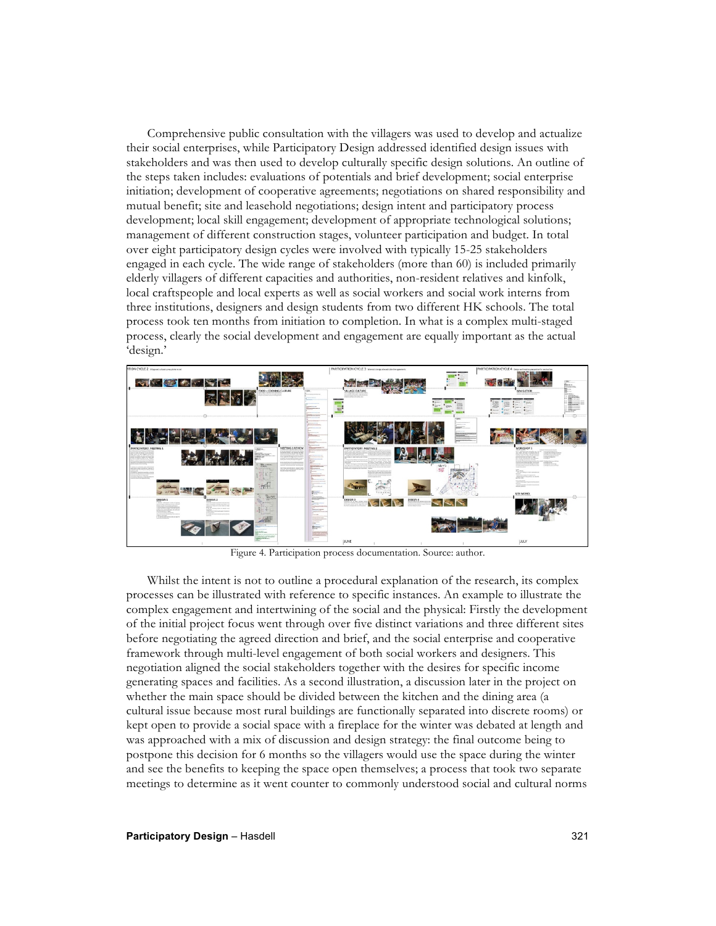Comprehensive public consultation with the villagers was used to develop and actualize their social enterprises, while Participatory Design addressed identified design issues with stakeholders and was then used to develop culturally specific design solutions. An outline of the steps taken includes: evaluations of potentials and brief development; social enterprise initiation; development of cooperative agreements; negotiations on shared responsibility and mutual benefit; site and leasehold negotiations; design intent and participatory process development; local skill engagement; development of appropriate technological solutions; management of different construction stages, volunteer participation and budget. In total over eight participatory design cycles were involved with typically 15-25 stakeholders engaged in each cycle. The wide range of stakeholders (more than 60) is included primarily elderly villagers of different capacities and authorities, non-resident relatives and kinfolk, local craftspeople and local experts as well as social workers and social work interns from three institutions, designers and design students from two different HK schools. The total process took ten months from initiation to completion. In what is a complex multi-staged process, clearly the social development and engagement are equally important as the actual 'design.'



Figure 4. Participation process documentation. Source: author.

Whilst the intent is not to outline a procedural explanation of the research, its complex processes can be illustrated with reference to specific instances. An example to illustrate the complex engagement and intertwining of the social and the physical: Firstly the development of the initial project focus went through over five distinct variations and three different sites before negotiating the agreed direction and brief, and the social enterprise and cooperative framework through multi-level engagement of both social workers and designers. This negotiation aligned the social stakeholders together with the desires for specific income generating spaces and facilities. As a second illustration, a discussion later in the project on whether the main space should be divided between the kitchen and the dining area (a cultural issue because most rural buildings are functionally separated into discrete rooms) or kept open to provide a social space with a fireplace for the winter was debated at length and was approached with a mix of discussion and design strategy: the final outcome being to postpone this decision for 6 months so the villagers would use the space during the winter and see the benefits to keeping the space open themselves; a process that took two separate meetings to determine as it went counter to commonly understood social and cultural norms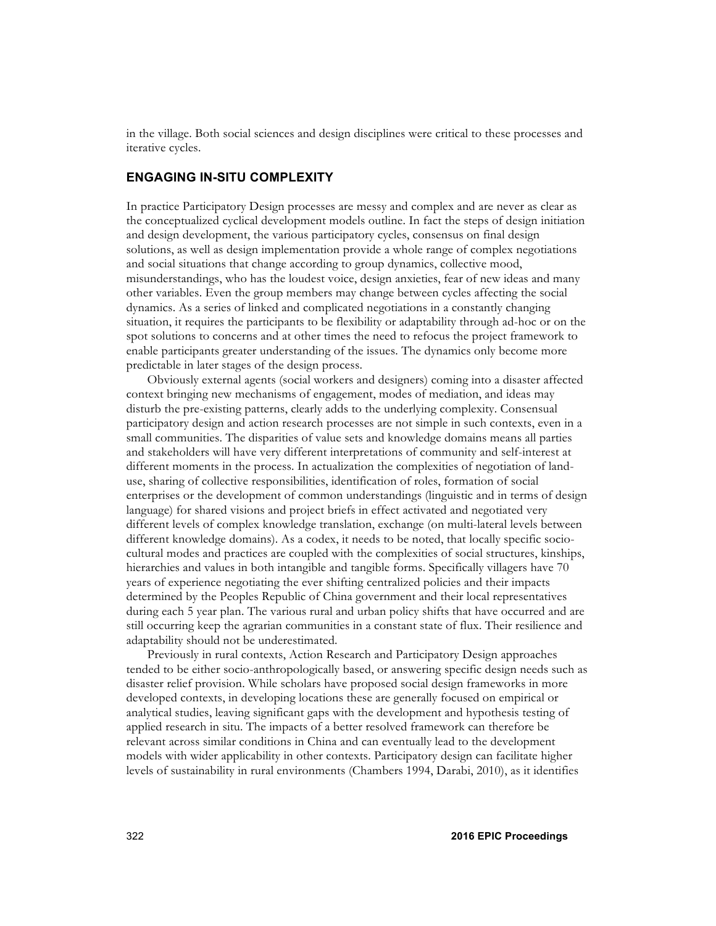in the village. Both social sciences and design disciplines were critical to these processes and iterative cycles.

# **ENGAGING IN-SITU COMPLEXITY**

In practice Participatory Design processes are messy and complex and are never as clear as the conceptualized cyclical development models outline. In fact the steps of design initiation and design development, the various participatory cycles, consensus on final design solutions, as well as design implementation provide a whole range of complex negotiations and social situations that change according to group dynamics, collective mood, misunderstandings, who has the loudest voice, design anxieties, fear of new ideas and many other variables. Even the group members may change between cycles affecting the social dynamics. As a series of linked and complicated negotiations in a constantly changing situation, it requires the participants to be flexibility or adaptability through ad-hoc or on the spot solutions to concerns and at other times the need to refocus the project framework to enable participants greater understanding of the issues. The dynamics only become more predictable in later stages of the design process.

Obviously external agents (social workers and designers) coming into a disaster affected context bringing new mechanisms of engagement, modes of mediation, and ideas may disturb the pre-existing patterns, clearly adds to the underlying complexity. Consensual participatory design and action research processes are not simple in such contexts, even in a small communities. The disparities of value sets and knowledge domains means all parties and stakeholders will have very different interpretations of community and self-interest at different moments in the process. In actualization the complexities of negotiation of landuse, sharing of collective responsibilities, identification of roles, formation of social enterprises or the development of common understandings (linguistic and in terms of design language) for shared visions and project briefs in effect activated and negotiated very different levels of complex knowledge translation, exchange (on multi-lateral levels between different knowledge domains). As a codex, it needs to be noted, that locally specific sociocultural modes and practices are coupled with the complexities of social structures, kinships, hierarchies and values in both intangible and tangible forms. Specifically villagers have 70 years of experience negotiating the ever shifting centralized policies and their impacts determined by the Peoples Republic of China government and their local representatives during each 5 year plan. The various rural and urban policy shifts that have occurred and are still occurring keep the agrarian communities in a constant state of flux. Their resilience and adaptability should not be underestimated.

Previously in rural contexts, Action Research and Participatory Design approaches tended to be either socio-anthropologically based, or answering specific design needs such as disaster relief provision. While scholars have proposed social design frameworks in more developed contexts, in developing locations these are generally focused on empirical or analytical studies, leaving significant gaps with the development and hypothesis testing of applied research in situ. The impacts of a better resolved framework can therefore be relevant across similar conditions in China and can eventually lead to the development models with wider applicability in other contexts. Participatory design can facilitate higher levels of sustainability in rural environments (Chambers 1994, Darabi, 2010), as it identifies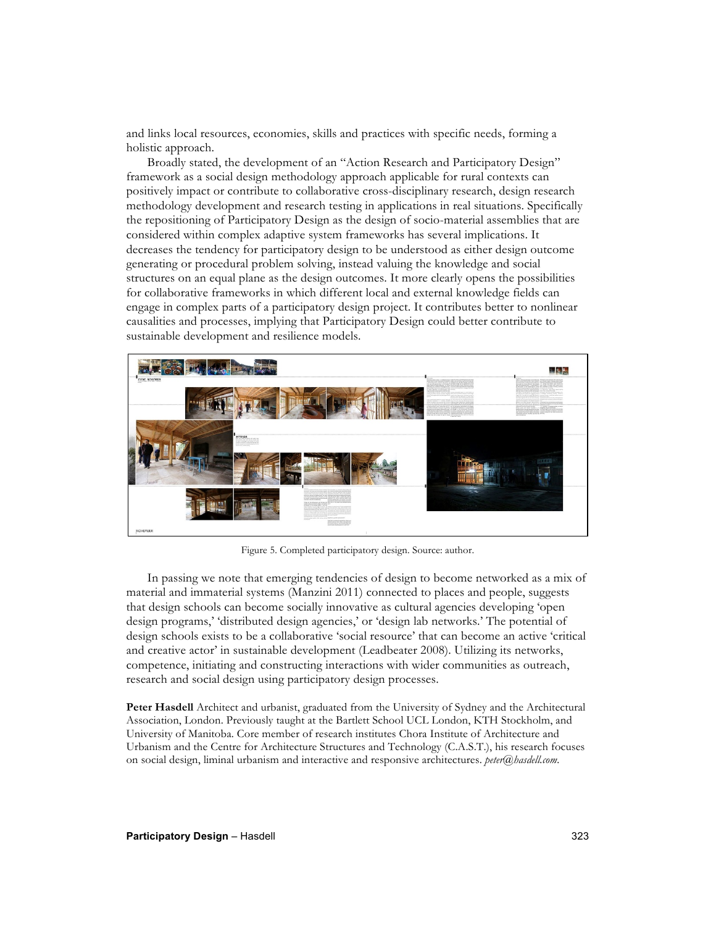and links local resources, economies, skills and practices with specific needs, forming a holistic approach.

Broadly stated, the development of an "Action Research and Participatory Design" framework as a social design methodology approach applicable for rural contexts can positively impact or contribute to collaborative cross-disciplinary research, design research methodology development and research testing in applications in real situations. Specifically the repositioning of Participatory Design as the design of socio-material assemblies that are considered within complex adaptive system frameworks has several implications. It decreases the tendency for participatory design to be understood as either design outcome generating or procedural problem solving, instead valuing the knowledge and social structures on an equal plane as the design outcomes. It more clearly opens the possibilities for collaborative frameworks in which different local and external knowledge fields can engage in complex parts of a participatory design project. It contributes better to nonlinear causalities and processes, implying that Participatory Design could better contribute to sustainable development and resilience models.



Figure 5. Completed participatory design. Source: author.

In passing we note that emerging tendencies of design to become networked as a mix of material and immaterial systems (Manzini 2011) connected to places and people, suggests that design schools can become socially innovative as cultural agencies developing 'open design programs,' 'distributed design agencies,' or 'design lab networks.' The potential of design schools exists to be a collaborative 'social resource' that can become an active 'critical and creative actor' in sustainable development (Leadbeater 2008). Utilizing its networks, competence, initiating and constructing interactions with wider communities as outreach, research and social design using participatory design processes.

**Peter Hasdell** Architect and urbanist, graduated from the University of Sydney and the Architectural Association, London. Previously taught at the Bartlett School UCL London, KTH Stockholm, and University of Manitoba. Core member of research institutes Chora Institute of Architecture and Urbanism and the Centre for Architecture Structures and Technology (C.A.S.T.), his research focuses on social design, liminal urbanism and interactive and responsive architectures. *[peter@hasdell.com.](mailto:peter@hasdell.com)*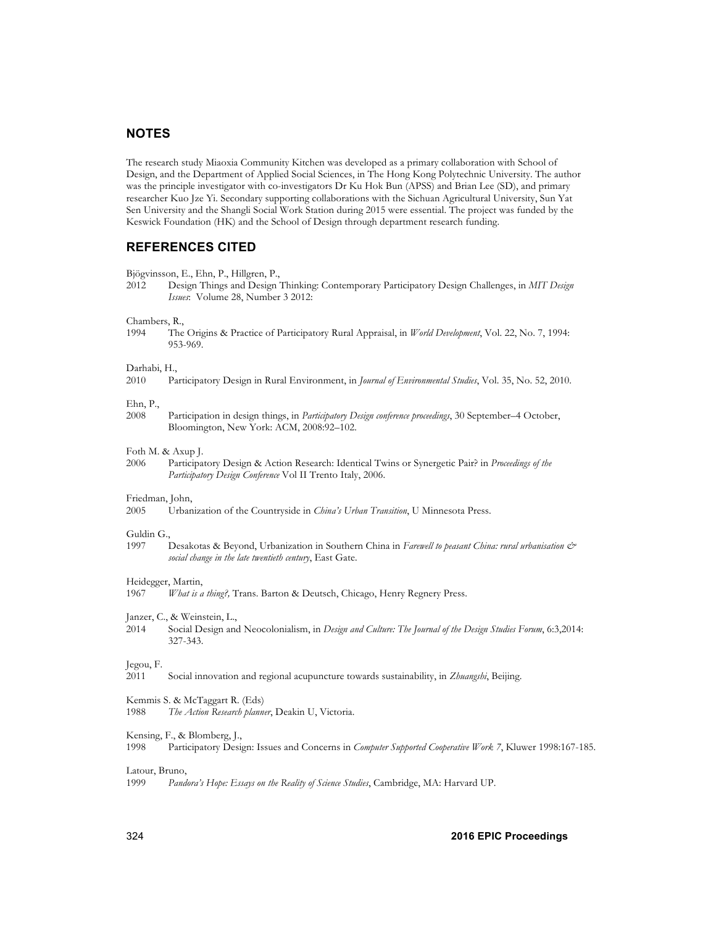# **NOTES**

The research study Miaoxia Community Kitchen was developed as a primary collaboration with School of Design, and the Department of Applied Social Sciences, in The Hong Kong Polytechnic University. The author was the principle investigator with co-investigators Dr Ku Hok Bun (APSS) and Brian Lee (SD), and primary researcher Kuo Jze Yi. Secondary supporting collaborations with the Sichuan Agricultural University, Sun Yat Sen University and the Shangli Social Work Station during 2015 were essential. The project was funded by the Keswick Foundation (HK) and the School of Design through department research funding.

# **REFERENCES CITED**

- Bjögvinsson, E., Ehn, P., Hillgren, P.,
- 2012 Design Things and Design Thinking: Contemporary Participatory Design Challenges, in *MIT Design Issues*: Volume 28, Number 3 2012:

## Chambers, R.,

1994 The Origins & Practice of Participatory Rural Appraisal, in *World Development*, Vol. 22, No. 7, 1994: 953-969.

#### Darhabi, H.,

2010 Participatory Design in Rural Environment, in *Journal of Environmental Studies*, Vol. 35, No. 52, 2010.

#### Ehn, P.,

2008 Participation in design things, in *Participatory Design conference proceedings*, 30 September–4 October, Bloomington, New York: ACM, 2008:92–102.

## Foth M. & Axup J.

2006 Participatory Design & Action Research: Identical Twins or Synergetic Pair? in *Proceedings of the Participatory Design Conference* Vol II Trento Italy, 2006.

## Friedman, John,

2005 Urbanization of the Countryside in *China's Urban Transition*, U Minnesota Press.

## Guldin G.,

1997 Desakotas & Beyond, Urbanization in Southern China in *Farewell to peasant China: rural urbanisation & social change in the late twentieth century*, East Gate.

Heidegger, Martin,

1967 *What is a thing?,* Trans. Barton & Deutsch, Chicago, Henry Regnery Press.

Janzer, C., & Weinstein, L.,

2014 Social Design and Neocolonialism, in *Design and Culture: The Journal of the Design Studies Forum*, 6:3,2014: 327-343.

## Jegou, F.

2011 Social innovation and regional acupuncture towards sustainability, in *Zhuangshi*, Beijing.

## Kemmis S. & McTaggart R. (Eds)

1988 *The Action Research planner*, Deakin U, Victoria.

## Kensing, F., & Blomberg, J.,

1998 Participatory Design: Issues and Concerns in *Computer Supported Cooperative Work 7*, Kluwer 1998:167-185.

## Latour, Bruno,

1999 *Pandora's Hope: Essays on the Reality of Science Studies*, Cambridge, MA: Harvard UP.

## 324 **2016 EPIC Proceedings**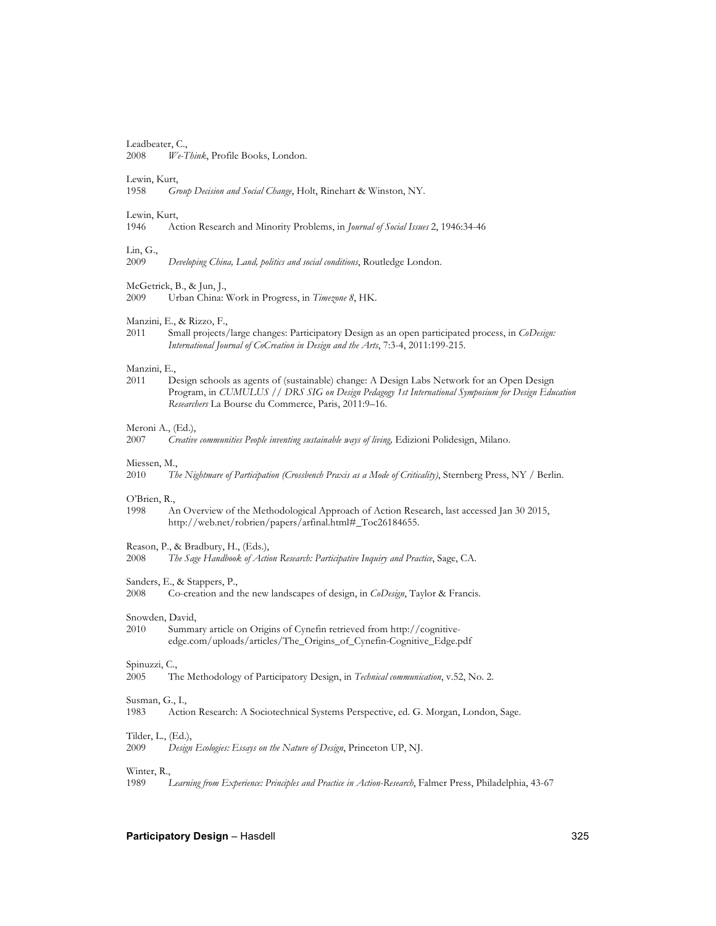| Leadbeater, C.,<br>2008    | We-Think, Profile Books, London.                                                                                                                                                                                                                         |
|----------------------------|----------------------------------------------------------------------------------------------------------------------------------------------------------------------------------------------------------------------------------------------------------|
| Lewin, Kurt,<br>1958       | Group Decision and Social Change, Holt, Rinehart & Winston, NY.                                                                                                                                                                                          |
| Lewin, Kurt,<br>1946       | Action Research and Minority Problems, in Journal of Social Issues 2, 1946:34-46                                                                                                                                                                         |
| Lin, G.,<br>2009           | Developing China, Land, politics and social conditions, Routledge London.                                                                                                                                                                                |
| 2009                       | McGetrick, B., & Jun, J.,<br>Urban China: Work in Progress, in Timezone 8, HK.                                                                                                                                                                           |
| 2011                       | Manzini, E., & Rizzo, F.,<br>Small projects/large changes: Participatory Design as an open participated process, in CoDesign:<br>International Journal of CoCreation in Design and the Arts, 7:3-4, 2011:199-215.                                        |
| Manzini, E.,<br>2011       | Design schools as agents of (sustainable) change: A Design Labs Network for an Open Design<br>Program, in CUMULUS // DRS SIG on Design Pedagogy 1st International Symposium for Design Education<br>Researchers La Bourse du Commerce, Paris, 2011:9-16. |
| Meroni A., (Ed.),<br>2007  | Creative communities People inventing sustainable ways of living, Edizioni Polidesign, Milano.                                                                                                                                                           |
| Miessen, M.,<br>2010       | The Nightmare of Participation (Crossbench Praxis as a Mode of Criticality), Sternberg Press, NY / Berlin.                                                                                                                                               |
| O'Brien, R.,<br>1998       | An Overview of the Methodological Approach of Action Research, last accessed Jan 30 2015,<br>http://web.net/robrien/papers/arfinal.html#_Toc26184655.                                                                                                    |
| 2008                       | Reason, P., & Bradbury, H., (Eds.),<br>The Sage Handbook of Action Research: Participative Inquiry and Practice, Sage, CA.                                                                                                                               |
| 2008                       | Sanders, E., & Stappers, P.,<br>Co-creation and the new landscapes of design, in <i>CoDesign</i> , Taylor & Francis.                                                                                                                                     |
| Snowden, David,<br>2010    | Summary article on Origins of Cynefin retrieved from http://cognitive-<br>edge.com/uploads/articles/The_Origins_of_Cynefin-Cognitive_Edge.pdf                                                                                                            |
| Spinuzzi, C.,<br>2005      | The Methodology of Participatory Design, in Technical communication, v.52, No. 2.                                                                                                                                                                        |
| Susman, G., I.,<br>1983    | Action Research: A Sociotechnical Systems Perspective, ed. G. Morgan, London, Sage.                                                                                                                                                                      |
| Tilder, L., (Ed.),<br>2009 | Design Ecologies: Essays on the Nature of Design, Princeton UP, NJ.                                                                                                                                                                                      |
| Winter, R.,<br>1989        | Learning from Experience: Principles and Practice in Action-Research, Falmer Press, Philadelphia, 43-67                                                                                                                                                  |

**Participatory Design – Hasdell 325 and 325 and 325 and 325 and 325 and 325 and 325 and 325 and 325 and 325 and 325 and 325 and 325 and 325 and 325 and 325 and 325 and 325 and 325 and 325 and 325 and 325 and 325 and 325 an**